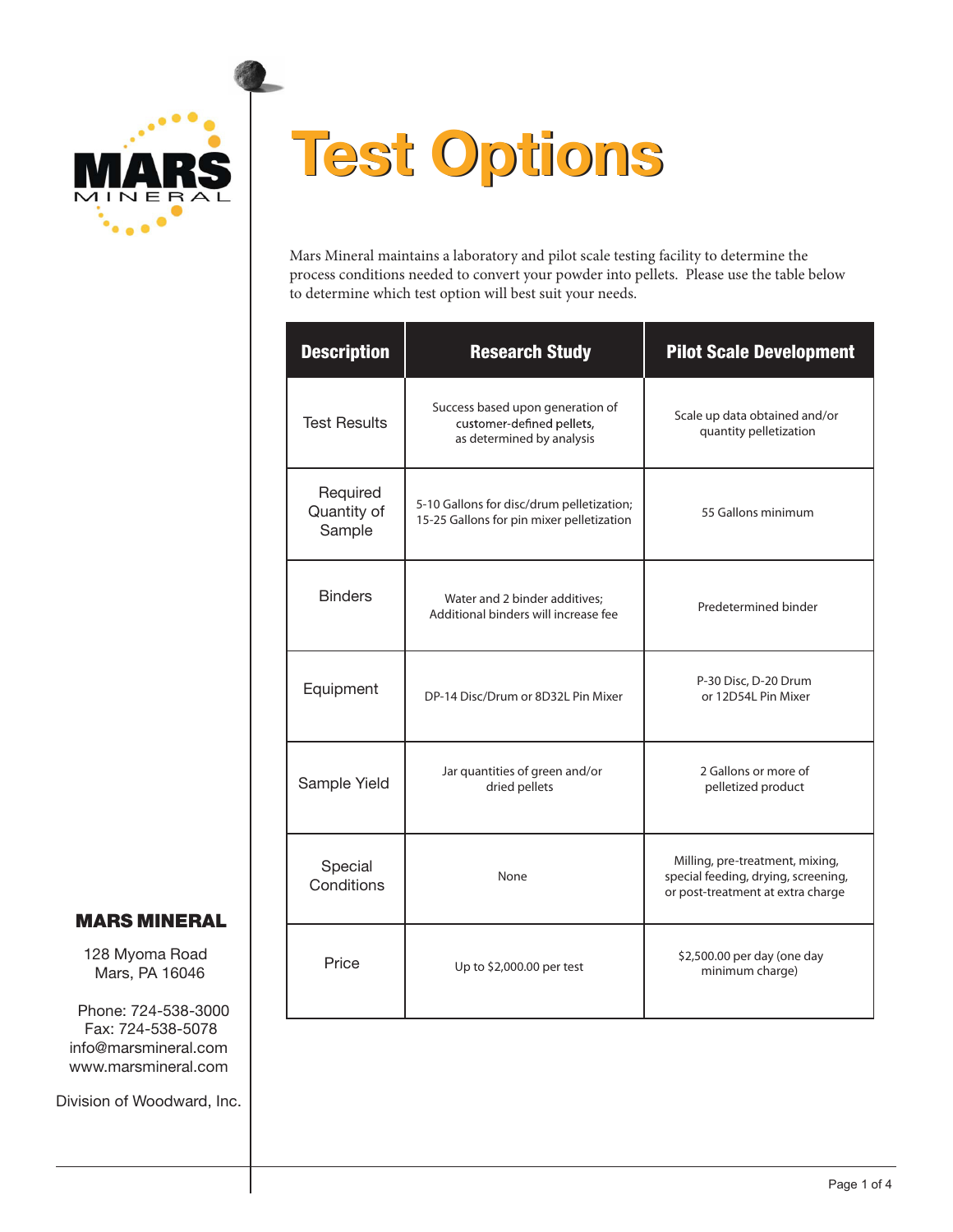

# **Test Options Test Options**

Mars Mineral maintains a laboratory and pilot scale testing facility to determine the process conditions needed to convert your powder into pellets. Please use the table below to determine which test option will best suit your needs.

| <b>Description</b>                | <b>Research Study</b>                                                                      | <b>Pilot Scale Development</b>                                                                              |
|-----------------------------------|--------------------------------------------------------------------------------------------|-------------------------------------------------------------------------------------------------------------|
| <b>Test Results</b>               | Success based upon generation of<br>customer-defined pellets,<br>as determined by analysis | Scale up data obtained and/or<br>quantity pelletization                                                     |
| Required<br>Quantity of<br>Sample | 5-10 Gallons for disc/drum pelletization;<br>15-25 Gallons for pin mixer pelletization     | 55 Gallons minimum                                                                                          |
| <b>Binders</b>                    | Water and 2 binder additives;<br>Additional binders will increase fee                      | Predetermined binder                                                                                        |
| Equipment                         | DP-14 Disc/Drum or 8D32L Pin Mixer                                                         | P-30 Disc, D-20 Drum<br>or 12D54L Pin Mixer                                                                 |
| Sample Yield                      | Jar quantities of green and/or<br>dried pellets                                            | 2 Gallons or more of<br>pelletized product                                                                  |
| Special<br>Conditions             | None                                                                                       | Milling, pre-treatment, mixing,<br>special feeding, drying, screening,<br>or post-treatment at extra charge |
| Price                             | Up to \$2,000.00 per test                                                                  | \$2,500.00 per day (one day<br>minimum charge)                                                              |

#### MARS MINERAL

128 Myoma Road Mars, PA 16046

Phone: 724-538-3000 Fax: 724-538-5078 info@marsmineral.com www.marsmineral.com

Division of Woodward, Inc.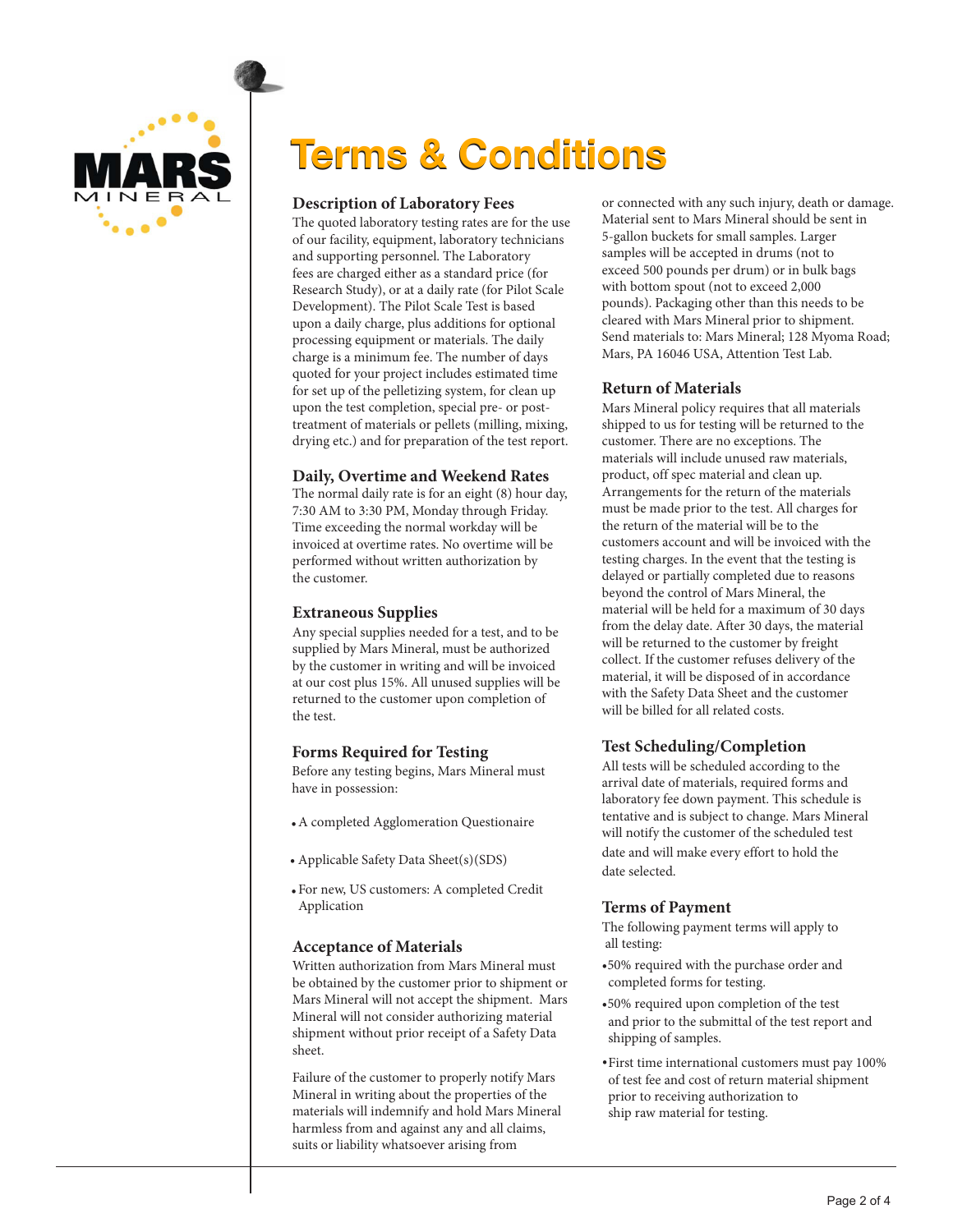

### **Terms & Conditions**

#### **Description of Laboratory Fees**

The quoted laboratory testing rates are for the use of our facility, equipment, laboratory technicians and supporting personnel. The Laboratory fees are charged either as a standard price (for Research Study), or at a daily rate (for Pilot Scale Development). The Pilot Scale Test is based upon a daily charge, plus additions for optional processing equipment or materials. The daily charge is a minimum fee. The number of days quoted for your project includes estimated time for set up of the pelletizing system, for clean up upon the test completion, special pre- or posttreatment of materials or pellets (milling, mixing, drying etc.) and for preparation of the test report.

#### **Daily, Overtime and Weekend Rates**

The normal daily rate is for an eight (8) hour day, 7:30 AM to 3:30 PM, Monday through Friday. Time exceeding the normal workday will be invoiced at overtime rates. No overtime will be performed without written authorization by the customer.

#### **Extraneous Supplies**

Any special supplies needed for a test, and to be supplied by Mars Mineral, must be authorized by the customer in writing and will be invoiced at our cost plus 15%. All unused supplies will be returned to the customer upon completion of the test.

#### **Forms Required for Testing**

Before any testing begins, Mars Mineral must have in possession:

- A completed Agglomeration Questionaire •
- Applicable Safety Data Sheet(s)(SDS)
- For new, US customers: A completed Credit Application

#### **Acceptance of Materials**

Written authorization from Mars Mineral must be obtained by the customer prior to shipment or Mars Mineral will not accept the shipment. Mars Mineral will not consider authorizing material shipment without prior receipt of a Safety Data sheet.

Failure of the customer to properly notify Mars Mineral in writing about the properties of the materials will indemnify and hold Mars Mineral harmless from and against any and all claims, suits or liability whatsoever arising from

or connected with any such injury, death or damage. Material sent to Mars Mineral should be sent in 5-gallon buckets for small samples. Larger samples will be accepted in drums (not to exceed 500 pounds per drum) or in bulk bags with bottom spout (not to exceed 2,000 pounds). Packaging other than this needs to be cleared with Mars Mineral prior to shipment. Send materials to: Mars Mineral; 128 Myoma Road; Mars, PA 16046 USA, Attention Test Lab.

#### **Return of Materials**

Mars Mineral policy requires that all materials shipped to us for testing will be returned to the customer. There are no exceptions. The materials will include unused raw materials, product, off spec material and clean up. Arrangements for the return of the materials must be made prior to the test. All charges for the return of the material will be to the customers account and will be invoiced with the testing charges. In the event that the testing is delayed or partially completed due to reasons beyond the control of Mars Mineral, the material will be held for a maximum of 30 days from the delay date. After 30 days, the material will be returned to the customer by freight collect. If the customer refuses delivery of the material, it will be disposed of in accordance with the Safety Data Sheet and the customer will be billed for all related costs.

#### **Test Scheduling/Completion**

All tests will be scheduled according to the arrival date of materials, required forms and laboratory fee down payment. This schedule is tentative and is subject to change. Mars Mineral will notify the customer of the scheduled test date and will make every effort to hold the date selected.

#### **Terms of Payment**

The following payment terms will apply to all testing:

- •50% required with the purchase order and completed forms for testing.
- •50% required upon completion of the test and prior to the submittal of the test report and shipping of samples.
- First time international customers must pay 100% of test fee and cost of return material shipment prior to receiving authorization to ship raw material for testing.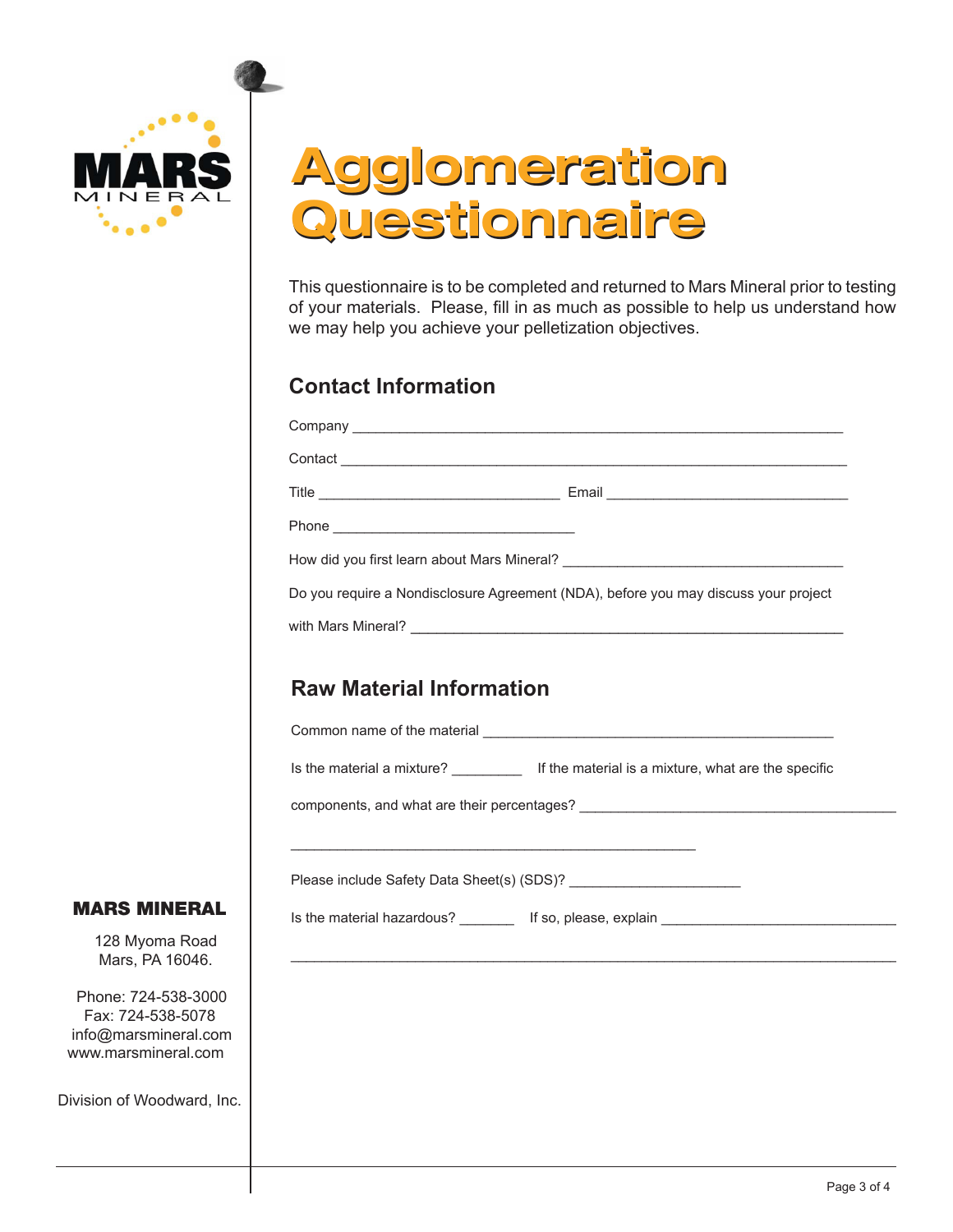

### Agglomeration Agglomeration Questionnaire Questionnaire

This questionnaire is to be completed and returned to Mars Mineral prior to testing of your materials. Please, fill in as much as possible to help us understand how we may help you achieve your pelletization objectives.

### **Contact Information**

|                                 | Do you require a Nondisclosure Agreement (NDA), before you may discuss your project          |
|---------------------------------|----------------------------------------------------------------------------------------------|
|                                 |                                                                                              |
|                                 |                                                                                              |
| <b>Raw Material Information</b> |                                                                                              |
|                                 |                                                                                              |
|                                 | Is the material a mixture? _____________ If the material is a mixture, what are the specific |
|                                 |                                                                                              |
|                                 |                                                                                              |
|                                 |                                                                                              |
|                                 |                                                                                              |
|                                 |                                                                                              |
|                                 | ,我们也不会有什么。""我们的人,我们也不会有什么?""我们的人,我们也不会有什么?""我们的人,我们也不会有什么?""我们的人,我们也不会有什么?""我们的人             |
|                                 |                                                                                              |
|                                 |                                                                                              |
|                                 |                                                                                              |

MARS MINERAL

128 Myoma Road Mars, PA 16046.

 Phone: 724-538-3000 Fax: 724-538-5078 info@marsmineral.com www.marsmineral.com

Division of Woodward, In